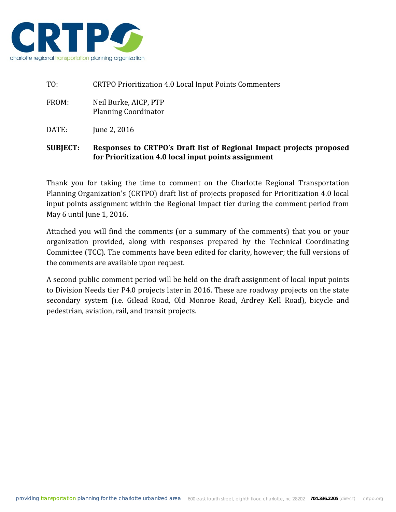

TO: CRTPO Prioritization 4.0 Local Input Points Commenters FROM: Neil Burke, AICP, PTP Planning Coordinator DATE: June 2, 2016

# **SUBJECT: Responses to CRTPO's Draft list of Regional Impact projects proposed for Prioritization 4.0 local input points assignment**

Thank you for taking the time to comment on the Charlotte Regional Transportation Planning Organization's (CRTPO) draft list of projects proposed for Prioritization 4.0 local input points assignment within the Regional Impact tier during the comment period from May 6 until June 1, 2016.

Attached you will find the comments (or a summary of the comments) that you or your organization provided, along with responses prepared by the Technical Coordinating Committee (TCC). The comments have been edited for clarity, however; the full versions of the comments are available upon request.

A second public comment period will be held on the draft assignment of local input points to Division Needs tier P4.0 projects later in 2016. These are roadway projects on the state secondary system (i.e. Gilead Road, Old Monroe Road, Ardrey Kell Road), bicycle and pedestrian, aviation, rail, and transit projects.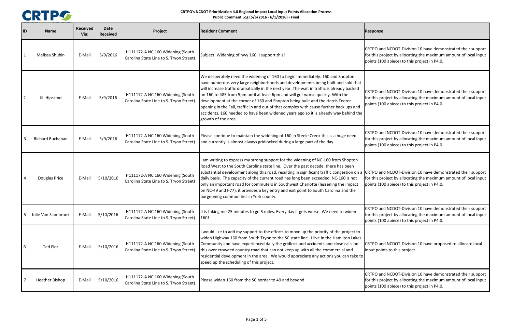

| ID             | <b>Name</b>             | <b>Received</b><br>Via: | <b>Date</b><br><b>Received</b> | Project                                                                     | <b>Resident Comment</b>                                                                                                                                                                                                                                                                                                                                                                                                                                                                                                                                                                                                                        | <b>Response</b>                                                                                                                                                                 |
|----------------|-------------------------|-------------------------|--------------------------------|-----------------------------------------------------------------------------|------------------------------------------------------------------------------------------------------------------------------------------------------------------------------------------------------------------------------------------------------------------------------------------------------------------------------------------------------------------------------------------------------------------------------------------------------------------------------------------------------------------------------------------------------------------------------------------------------------------------------------------------|---------------------------------------------------------------------------------------------------------------------------------------------------------------------------------|
|                | Melissa Shubin          | E-Mail                  | 5/9/2016                       | H111172-A NC 160 Widening (South<br>Carolina State Line to S. Tryon Street) | Subject: Widening of hwy 160. I support this!                                                                                                                                                                                                                                                                                                                                                                                                                                                                                                                                                                                                  | CRTPO and NCDOT-Division 10 have demonstrated their support<br>for this project by allocating the maximum amount of local input<br>points (100 apiece) to this project in P4.0. |
|                | Jill Hipskind           | E-Mail                  | 5/9/2016                       | H111172-A NC 160 Widening (South<br>Carolina State Line to S. Tryon Street) | We desperately need the widening of 160 to begin immediately. 160 and Shopton<br>have numerous very large neighborhoods and developments being built and sold that<br>will increase traffic dramatically in the next year. The wait in traffic is already backed<br>on 160 to 485 from 5pm until at least 6pm and will get worse quickly. With the<br>development at the corner of 160 and Shopton being built and the Harris Teeter<br>opening in the Fall, traffic in and out of that complex with cause further back ups and<br>accidents. 160 needed to have been widened years ago so it is already way behind the<br>growth of the area. | CRTPO and NCDOT-Division 10 have demonstrated their support<br>for this project by allocating the maximum amount of local input<br>points (100 apiece) to this project in P4.0. |
|                | <b>Richard Buchanan</b> | E-Mail                  | 5/9/2016                       | H111172-A NC 160 Widening (South<br>Carolina State Line to S. Tryon Street) | Please continue to maintain the widening of 160 in Steele Creek this is a huge need<br>and currently is almost always gridlocked during a large part of the day.                                                                                                                                                                                                                                                                                                                                                                                                                                                                               | CRTPO and NCDOT-Division 10 have demonstrated their support<br>for this project by allocating the maximum amount of local input<br>points (100 apiece) to this project in P4.0. |
|                | Douglas Price           | E-Mail                  | 5/10/2016                      | H111172-A NC 160 Widening (South<br>Carolina State Line to S. Tryon Street) | I am writing to express my strong support for the widening of NC-160 from Shopton<br>Road West to the South Carolina state line. Over the past decade, there has been<br>substantial development along this road, resulting in significant traffic congestion on a<br>daily basis. The capacity of the current road has long been exceeded. NC-160 is not<br>only an important road for commuters in Southwest Charlotte (lessening the impact<br>on NC-49 and I-77), it provides a key entry and exit point to South Carolina and the<br>burgeoning communities in York county.                                                               | CRTPO and NCDOT-Division 10 have demonstrated their support<br>for this project by allocating the maximum amount of local input<br>points (100 apiece) to this project in P4.0. |
| $\overline{5}$ | Julie Van Slambrook     | E-Mail                  | 5/10/2016                      | H111172-A NC 160 Widening (South<br>Carolina State Line to S. Tryon Street) | It is taking me 25 minutes to go 5 miles. Every day it gets worse. We need to widen<br>160!                                                                                                                                                                                                                                                                                                                                                                                                                                                                                                                                                    | CRTPO and NCDOT-Division 10 have demonstrated their support<br>for this project by allocating the maximum amount of local input<br>points (100 apiece) to this project in P4.0. |
| -6             | Ted Flor                | E-Mail                  | 5/10/2016                      | H111172-A NC 160 Widening (South<br>Carolina State Line to S. Tryon Street) | I would like to add my support to the efforts to move up the priority of the project to<br>widen Highway 160 from South Tryon to the SC state line. I live in the Hamilton Lakes<br>Community and have experienced daily the gridlock and accidents and close calls on<br>this over crowded country road that can not keep up with all the commercial and<br>residential development in the area. We would appreciate any actions you can take to<br>speed up the scheduling of this project.                                                                                                                                                  | CRTPO and NCDOT-Division 10 have proposed to allocate local<br>input points to this project.                                                                                    |
|                | Heather Bishop          | E-Mail                  | 5/10/2016                      | H111172-A NC 160 Widening (South<br>Carolina State Line to S. Tryon Street) | Please widen 160 from the SC border to 49 and beyond.                                                                                                                                                                                                                                                                                                                                                                                                                                                                                                                                                                                          | CRTPO and NCDOT-Division 10 have demonstrated their support<br>for this project by allocating the maximum amount of local input<br>points (100 apiece) to this project in P4.0. |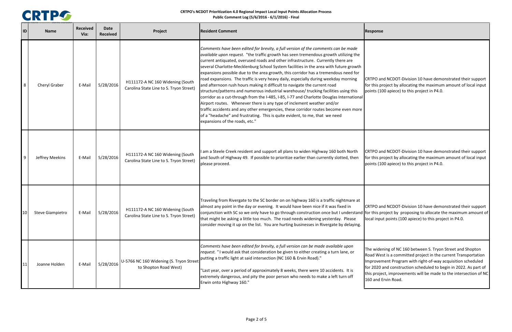

 and NCDOT‐Division 10 have demonstrated their support this project by allocating the maximum amount of local input (100 apiece) to this project in P4.0.

I and NCDOT-Division 10 have demonstrated their support<br>is project by allocating the maximum amount of local input<br>i (100 apiece) to this project in P4.0.

 and NCDOT‐Division 10 have demonstrated their support this project by proposing to allocate the maximum amount of nput points (100 apiece) to this project in P4.0.

idening of NC 160 between S. Tryon Street and Shopton West is <sup>a</sup> committed project in the current Transportation vement Program with right-of-way acquisition scheduled 2020 and construction scheduled to begin in 2022. As part of roject, improvements will be made to the intersection of NC 0 and Ervin Road.

|    | ID<br><b>Name</b>                          | <b>Received</b><br>Via: | <b>Date</b><br><b>Received</b> | Project                                                                     | <b>Resident Comment</b>                                                                                                                                                                                                                                                                                                                                                                                                                                                                                                                                                                                                                                                                                                                                                                                                                                                                                                                                                                                                                                                                 | Response                                                                   |
|----|--------------------------------------------|-------------------------|--------------------------------|-----------------------------------------------------------------------------|-----------------------------------------------------------------------------------------------------------------------------------------------------------------------------------------------------------------------------------------------------------------------------------------------------------------------------------------------------------------------------------------------------------------------------------------------------------------------------------------------------------------------------------------------------------------------------------------------------------------------------------------------------------------------------------------------------------------------------------------------------------------------------------------------------------------------------------------------------------------------------------------------------------------------------------------------------------------------------------------------------------------------------------------------------------------------------------------|----------------------------------------------------------------------------|
|    | 8<br>Cheryl Graber                         | E-Mail                  | 5/28/2016                      | H111172-A NC 160 Widening (South<br>Carolina State Line to S. Tryon Street) | Comments have been edited for brevity, a full version of the comments can be made<br>available upon request. "the traffic growth has seen tremendous growth utilizing the<br>current antiquated, overused roads and other infrastructure. Currently there are<br>several Charlotte-Mecklenburg School System facilities in the area with future growth<br>expansions possible due to the area growth, this corridor has a tremendous need for<br>road expansions. The traffic is very heavy daily, especially during weekday morning<br>and afternoon rush hours making it difficult to navigate the current road<br>structure/patterns and numerous industrial warehouse/ trucking facilities using this<br>corridor as a cut-through from the I-485, I-85, I-77 and Charlotte Douglas International<br>Airport routes. Whenever there is any type of inclement weather and/or<br>traffic accidents and any other emergencies, these corridor routes become even more<br>of a "headache" and frustrating. This is quite evident, to me, that we need<br>expansions of the roads, etc." | CRTPO an<br>for this pr<br>points (10                                      |
|    | 9<br>Jeffrey Meekins                       | E-Mail                  | 5/28/2016                      | H111172-A NC 160 Widening (South<br>Carolina State Line to S. Tryon Street) | I am a Steele Creek resident and support all plans to widen Highway 160 both North<br>and South of Highway 49. If possible to prioritize earlier than currently slotted, then<br>please proceed.                                                                                                                                                                                                                                                                                                                                                                                                                                                                                                                                                                                                                                                                                                                                                                                                                                                                                        | CRTPO an<br>for this pr<br>points (10                                      |
|    | 10 <sub>1</sub><br><b>Steve Giampietro</b> | E-Mail                  | 5/28/2016                      | H111172-A NC 160 Widening (South<br>Carolina State Line to S. Tryon Street) | Traveling from Rivergate to the SC border on on highway 160 is a traffic nightmare at<br>almost any point in the day or evening. It would have been nice if it was fixed in<br>conjunction with SC so we only have to go through construction once but I understand for this pr<br>that might be asking a little too much. The road needs widening yesterday. Please<br>consider moving it up on the list. You are hurting businesses in Rivergate by delaying.                                                                                                                                                                                                                                                                                                                                                                                                                                                                                                                                                                                                                         | CRTPO an<br>local inpu                                                     |
| 11 | Joanne Holden                              | E-Mail                  | 5/28/2016                      | U-5766 NC 160 Widening (S. Tryon Street<br>to Shopton Road West)            | Comments have been edited for brevity, a full version can be made available upon<br>request. "I would ask that consideration be given to either creating a turn lane, or<br>putting a traffic light at said intersection (NC 160 & Ervin Road)."<br>"Last year, over a period of approximately 8 weeks, there were 10 accidents. It is<br>extremely dangerous, and pity the poor person who needs to make a left turn off<br>Erwin onto Highway 160."                                                                                                                                                                                                                                                                                                                                                                                                                                                                                                                                                                                                                                   | The wider<br>Road Wes<br>Improven<br>for 2020 a<br>this proje<br>160 and E |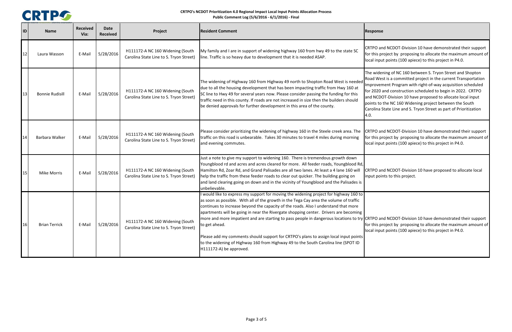

idening of NC 160 between S. Tryon Street and Shopton West is <sup>a</sup> committed project in the current Transportation vement Program with right-of-way acquisition scheduled 2020 and construction scheduled to begin in 2022. CRTPO CDOT-Division 10 have proposed to allocate local input to the NC 160 Widening project between the South Carolina State Line and S. Tryon Street as part of Prioritization

extemmuted their support of and NCDOT-Division 10 have demonstrated their support<br>Interative for the maximum amount of appoints project in P4.0.<br>Input points (100 apiece) to this project in P4.0.

 and NCDOT‐Division 10 have proposed to allocate local points to this project.

 and NCDOT‐Division 10 have demonstrated their support project by proposing to allocate the maximum amount of nput points (100 apiece) to this project in P4.0.

| 1D | <b>Name</b>            | <b>Received</b><br>Via: | <b>Date</b><br><b>Received</b> | Project                                                                     | <b>Resident Comment</b>                                                                                                                                                                                                                                                                                                                                                                                                                                                                                                                                                                                                                                                                     | Response                                                                                      |
|----|------------------------|-------------------------|--------------------------------|-----------------------------------------------------------------------------|---------------------------------------------------------------------------------------------------------------------------------------------------------------------------------------------------------------------------------------------------------------------------------------------------------------------------------------------------------------------------------------------------------------------------------------------------------------------------------------------------------------------------------------------------------------------------------------------------------------------------------------------------------------------------------------------|-----------------------------------------------------------------------------------------------|
| 12 | Laura Wasson           | E-Mail                  | 5/28/2016                      | H111172-A NC 160 Widening (South<br>Carolina State Line to S. Tryon Street) | My family and I are in support of widening highway 160 from hwy 49 to the state SC<br>line. Traffic is so heavy due to development that it is needed ASAP.                                                                                                                                                                                                                                                                                                                                                                                                                                                                                                                                  | CRTPO an<br>for this pr<br>local inpu                                                         |
| 13 | <b>Bonnie Rudisill</b> | E-Mail                  | 5/28/2016                      | H111172-A NC 160 Widening (South<br>Carolina State Line to S. Tryon Street) | The widening of Highway 160 from Highway 49 north to Shopton Road West is needed<br>due to all the housing development that has been impacting traffic from Hwy 160 at<br>SC line to Hwy 49 for several years now. Please consider passing the funding for this<br>traffic need in this county. If roads are not increased in size then the builders should<br>be denied approvals for further development in this area of the county.                                                                                                                                                                                                                                                      | The wider<br>Road Wes<br>Improven<br>for 2020 a<br>and NCD<br>points to<br>Carolina S<br>4.0. |
| 14 | Barbara Walker         | E-Mail                  | 5/28/2016                      | H111172-A NC 160 Widening (South<br>Carolina State Line to S. Tryon Street) | Please consider prioritizing the widening of highway 160 in the Steele creek area. The<br>traffic on this road is unbearable. Takes 30 minutes to travel 4 miles during morning<br>and evening commutes.                                                                                                                                                                                                                                                                                                                                                                                                                                                                                    | CRTPO an<br>for this pr<br>local inpu                                                         |
| 15 | <b>Mike Morris</b>     | E-Mail                  | 5/28/2016                      | H111172-A NC 160 Widening (South<br>Carolina State Line to S. Tryon Street) | Just a note to give my support to widening 160. There is tremendous growth down<br>Youngblood rd and acres and acres cleared for more. All feeder roads, Youngblood Rd,<br>Hamilton Rd, Zoar Rd, and Grand Palisades are all two lanes. At least a 4 lane 160 will<br>help the traffic from these feeder roads to clear out quicker. The building going on<br>and land clearing going on down and in the vicinity of Youngblood and the Palisades is<br>unbelievable.                                                                                                                                                                                                                       | CRTPO an<br>input poir                                                                        |
| 16 | <b>Brian Terrick</b>   | E-Mail                  | 5/28/2016                      | H111172-A NC 160 Widening (South<br>Carolina State Line to S. Tryon Street) | I would like to express my support for moving the widening project for highway 160 to<br>as soon as possible. With all of the growth in the Tega Cay area the volume of traffic<br>continues to increase beyond the capacity of the roads. Also I understand that more<br>apartments will be going in near the Rivergate shopping center. Drivers are becoming<br>more and more impatient and are starting to pass people in dangerous locations to try CRTPO and<br>to get ahead.<br>Please add my comments should support for CRTPO's plans to assign local input points<br>to the widening of Highway 160 from Highway 49 to the South Carolina line (SPOT ID<br>H111172-A) be approved. | for this pr<br>local inpu                                                                     |

and NCDOT-Division 10 have demonstrated their support<br>s project by proposing to allocate the maximum amount of nput points (100 apiece) to this project in P4.0.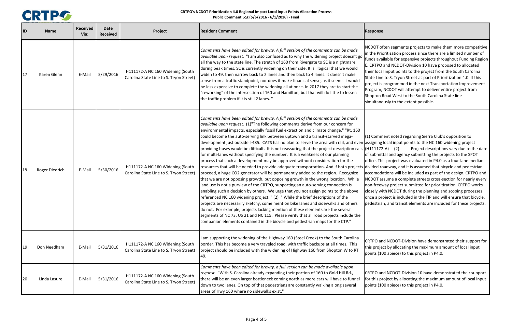

NCDOT often segments projects to make them more competitive Prioritization process since there are a limited number of available for expensive projects throughout Funding Region CRTPO and NCDOT‐Division 10 have proposed to allocated ocal input points to the project from the South Carolina e Line to S. Tryon Street as part of Prioritization 4.0. If this ct is programmed in the next Transportation Improvement am, NCDOT will attempt to deliver entire project from on Road West to the South Carolina State line anously to the extent possible.

mment noted regarding Sierra Club's opposition to ing local input points to the NC 160 widening project  $(172-A)$   $(2)$  Project descriptions vary due to the date f submittal and agency submitting the projects to the SPOT This project was evaluated in P4.0 as <sup>a</sup> four‐lane median divided roadway, and it is assumed that bicycle and pedestrian accomodations will be included as part of the design. CRTPO and NCDOT assume <sup>a</sup> complete streets cross‐section for nearly every reeway project submitted for prioritization. CRTPO works with NCDOT during the planning and scoping processes <sup>a</sup> project is included in the TIP and will ensure that bicycle, trian, and transit elements are included for these projects.

 and NCDOT‐Division have demonstrated their support for roject by allocating the maximum amount of local input (100 apiece) to this project in P4.0.

 and NCDOT‐Division 10 have demonstrated their support this project by allocating the maximum amount of local input (100 apiece) to this project in P4.0.

| D  | <b>Name</b>    | <b>Received</b><br>Via: | <b>Date</b><br><b>Received</b> | Project                                                                     | <b>Resident Comment</b>                                                                                                                                                                                                                                                                                                                                                                                                                                                                                                                                                                                                                                                                                                                                                                                                                                                                                                                                                                                                                                                                                                                                                                                                                                                                                                                                                                                                                                                                                                                                                                                                              | Response                                                                                                                                |
|----|----------------|-------------------------|--------------------------------|-----------------------------------------------------------------------------|--------------------------------------------------------------------------------------------------------------------------------------------------------------------------------------------------------------------------------------------------------------------------------------------------------------------------------------------------------------------------------------------------------------------------------------------------------------------------------------------------------------------------------------------------------------------------------------------------------------------------------------------------------------------------------------------------------------------------------------------------------------------------------------------------------------------------------------------------------------------------------------------------------------------------------------------------------------------------------------------------------------------------------------------------------------------------------------------------------------------------------------------------------------------------------------------------------------------------------------------------------------------------------------------------------------------------------------------------------------------------------------------------------------------------------------------------------------------------------------------------------------------------------------------------------------------------------------------------------------------------------------|-----------------------------------------------------------------------------------------------------------------------------------------|
| 17 | Karen Glenn    | E-Mail                  | 5/29/2016                      | H111172-A NC 160 Widening (South<br>Carolina State Line to S. Tryon Street) | Comments have been edited for brevity. A full version of the comments can be made<br><i>available upon request.</i> "I am also confused as to why the widening project doesn't go<br>all the way to the state line. The stretch of 160 from Rivergate to SC is a nightmare<br>during peak times. SC is currently widening on their side. It is illogical that we would<br>widen to 49, then narrow back to 2 lanes and then back to 4 lanes. It doesn't make<br>sense from a traffic standpoint, nor does it make financial sense, as it seems it would<br>be less expensive to complete the widening all at once. In 2017 they are to start the<br>"reworking" of the intersection of 160 and Hamilton, but that will do little to lessen<br>the traffic problem if it is still 2 lanes."                                                                                                                                                                                                                                                                                                                                                                                                                                                                                                                                                                                                                                                                                                                                                                                                                                           | NCDOT of<br>in the Prid<br>funds ava<br>E. CRTPO<br>their loca<br><b>State Line</b><br>project is<br>Program,<br>Shopton I<br>simultano |
| 18 | Roger Diedrich | E-Mail                  | 5/30/2016                      | H111172-A NC 160 Widening (South<br>Carolina State Line to S. Tryon Street) | Comments have been edited for brevity. A full version of the comments can be made<br><i>available upon request.</i> (1) The following comments derive from our concern for<br>environmental impacts, especially fossil fuel extraction and climate change." "Rt. 160<br>could become the auto-serving link between uptown and a transit-starved mega-<br>development just outside I-485. CATS has no plan to serve the area with rail, and even assigning<br>providing buses would be difficult. It is not reassuring that the project description calls (H111172<br>for multi-lanes without specifying the number. It is a weakness of our planning<br>process that such a development may be approved without consideration for the<br>resources that will be needed to provide adequate transportation. And if both projects divided ro<br>proceed, a huge CO2 generator will be permanently added to the region. Recognize<br>that we are not opposing growth, but opposing growth in the wrong location. While<br>land use is not a purview of the CRTPO, supporting an auto-serving connection is<br>enabling such a decision by others. We urge that you not assign points to the above<br>referenced NC 160 widening project. " (2) " While the brief descriptions of the<br>projects are necessarily sketchy, some mention bike lanes and sidewalks and others<br>do not. For example, projects lacking mention of these elements are the several<br>segments of NC 73, US 21 and NC 115. Please verify that all road projects include the<br>companion elements contained in the bicycle and pedestrian maps for the CTP." | $(1)$ Comm<br>of submit<br>office. Th<br>accomoda<br>NCDOT as<br>non-freev<br>closely wi<br>once a pr<br>pedestria                      |
| 19 | Don Needham    | E-Mail                  | 5/31/2016                      | H111172-A NC 160 Widening (South<br>Carolina State Line to S. Tryon Street) | I am supporting the widening of the Highway 160 (Steel Creek) to the South Carolina<br>border. This has become a very traveled road, with traffic backups at all times. This<br>project should be included with the widening of Highway 160 from Shopton W to RT<br>49.                                                                                                                                                                                                                                                                                                                                                                                                                                                                                                                                                                                                                                                                                                                                                                                                                                                                                                                                                                                                                                                                                                                                                                                                                                                                                                                                                              | CRTPO an<br>this proje<br>points (10                                                                                                    |
| 20 | Linda Lasure   | E-Mail                  | 5/31/2016                      | H111172-A NC 160 Widening (South<br>Carolina State Line to S. Tryon Street) | Comments have been edited for brevity, a full version can be made available upon<br>request. "With S. Carolina already expanding their portion of 160 to Gold Hill Rd.,<br>there will be an even larger bottleneck coming north as more cars will have to funnel<br>down to two lanes. On top of that pedestrians are constantly walking along several<br>areas of Hwy 160 where no sidewalks exist."                                                                                                                                                                                                                                                                                                                                                                                                                                                                                                                                                                                                                                                                                                                                                                                                                                                                                                                                                                                                                                                                                                                                                                                                                                | CRTPO an<br>for this pr<br>points (10                                                                                                   |